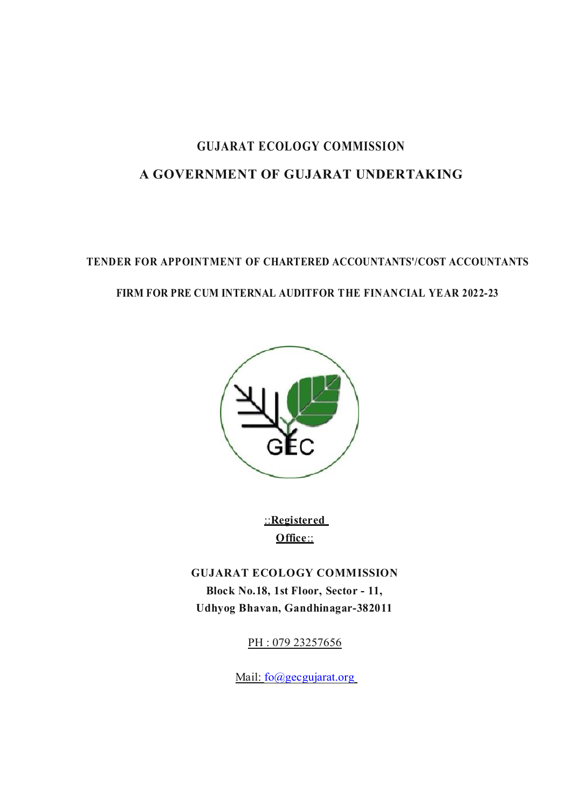# GUJARAT ECOLOGY COMMISSION A GOVERNMENT OF GUJARAT UNDERTAKING

# TENDER FOR APPOINTMENT OF CHARTERED ACCOUNTANTS'/COST ACCOUNTANTS FIRM FOR PRE CUM INTERNAL AUDITFOR THE FINANCIAL YEAR 2022-23



::Registered Office::

GUJARAT ECOLOGY COMMISSION Block No.18, 1st Floor, Sector - 11, Udhyog Bhavan, Gandhinagar-382011

PH: 079 23257656

Mail: fo@gecgujarat.org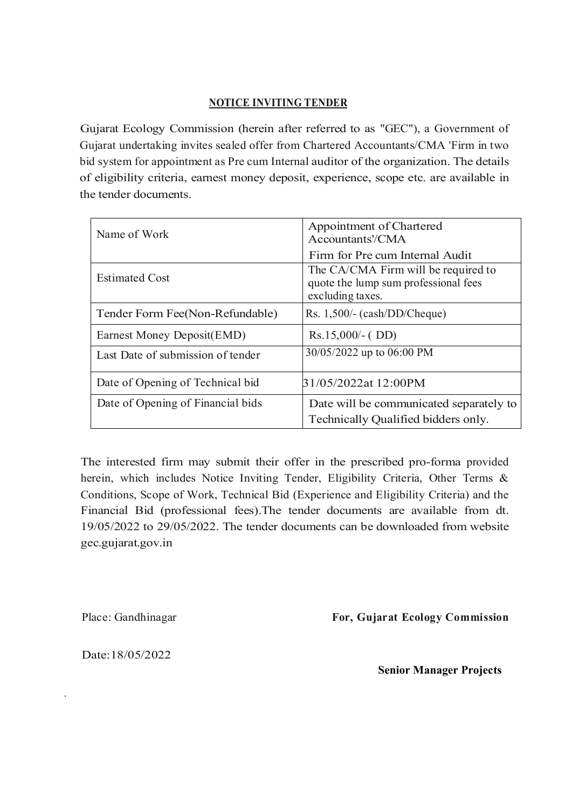#### NOTICE INVITING TENDER

Gujarat Ecology Commission (herein after referred to as "GEC"), a Government of Gujarat undertaking invites sealed offer from Chartered Accountants/CMA 'Firm in two bid system for appointment as Pre cum Internal auditor of the organization. The details of eligibility criteria, earnest money deposit, experience, scope etc. are available in the tender documents.

| Name of Work                      | Appointment of Chartered<br>Accountants'/CMA                                                    |  |  |
|-----------------------------------|-------------------------------------------------------------------------------------------------|--|--|
|                                   | Firm for Pre cum Internal Audit                                                                 |  |  |
| <b>Estimated Cost</b>             | The CA/CMA Firm will be required to<br>quote the lump sum professional fees<br>excluding taxes. |  |  |
| Tender Form Fee(Non-Refundable)   | $Rs. 1,500/-(cash/DD/Cheque)$                                                                   |  |  |
| Earnest Money Deposit(EMD)        | $Rs.15,000/(-DD)$                                                                               |  |  |
| Last Date of submission of tender | 30/05/2022 up to 06:00 PM                                                                       |  |  |
| Date of Opening of Technical bid  | 31/05/2022at 12:00PM                                                                            |  |  |
| Date of Opening of Financial bids | Date will be communicated separately to<br>Technically Qualified bidders only.                  |  |  |

The interested firm may submit their offer in the prescribed pro-forma provided herein, which includes Notice Inviting Tender, Eligibility Criteria, Other Terms & Conditions, Scope of Work, Technical Bid (Experience and Eligibility Criteria) and the Financial Bid (professional fees).The tender documents are available from dt. 19/05/2022 to 29/05/2022. The tender documents can be downloaded from website gec.gujarat.gov.in

Place: Gandhinagar

For, Gujarat Ecology Commission

Date:18/05/2022

·

Senior Manager Projects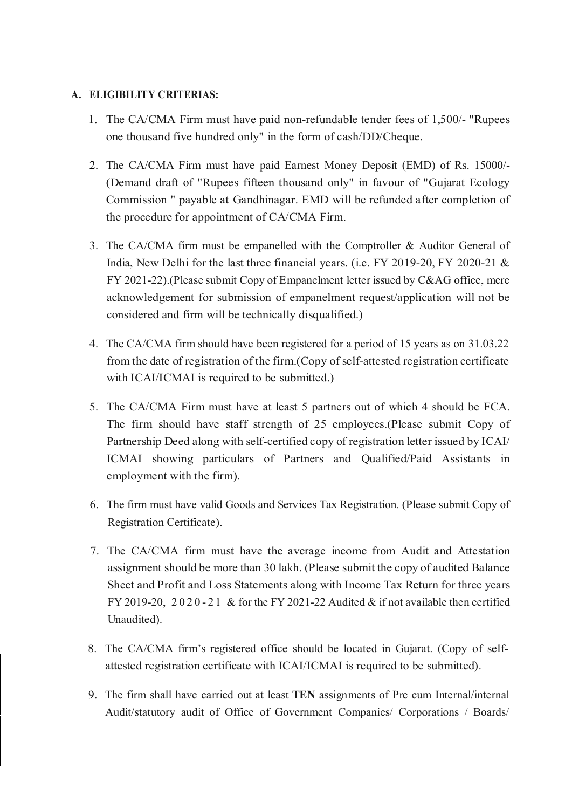## A. ELIGIBILITY CRITERIAS:

- 1. The CA/CMA Firm must have paid non-refundable tender fees of 1,500/- "Rupees one thousand five hundred only" in the form of cash/DD/Cheque.
- 2. The CA/CMA Firm must have paid Earnest Money Deposit (EMD) of Rs. 15000/- (Demand draft of "Rupees fifteen thousand only" in favour of "Gujarat Ecology Commission " payable at Gandhinagar. EMD will be refunded after completion of the procedure for appointment of CA/CMA Firm.
- 3. The CA/CMA firm must be empanelled with the Comptroller & Auditor General of India, New Delhi for the last three financial years. (i.e. FY 2019-20, FY 2020-21 & FY 2021-22).(Please submit Copy of Empanelment letter issued by C&AG office, mere acknowledgement for submission of empanelment request/application will not be considered and firm will be technically disqualified.)
- 4. The CA/CMA firm should have been registered for a period of 15 years as on 31.03.22 from the date of registration of the firm.(Copy of self-attested registration certificate with ICAI/ICMAI is required to be submitted.)
- 5. The CA/CMA Firm must have at least 5 partners out of which 4 should be FCA. The firm should have staff strength of 25 employees.(Please submit Copy of Partnership Deed along with self-certified copy of registration letter issued by ICAI/ ICMAI showing particulars of Partners and Qualified/Paid Assistants in employment with the firm).
- 6. The firm must have valid Goods and Services Tax Registration. (Please submit Copy of Registration Certificate).
- 7. The CA/CMA firm must have the average income from Audit and Attestation assignment should be more than 30 lakh. (Please submit the copy of audited Balance Sheet and Profit and Loss Statements along with Income Tax Return for three years FY 2019-20, 2020-21 & for the FY 2021-22 Audited  $\&$  if not available then certified Unaudited).
- 8. The CA/CMA firm's registered office should be located in Gujarat. (Copy of selfattested registration certificate with ICAI/ICMAI is required to be submitted).
- 9. The firm shall have carried out at least TEN assignments of Pre cum Internal/internal Audit/statutory audit of Office of Government Companies/ Corporations / Boards/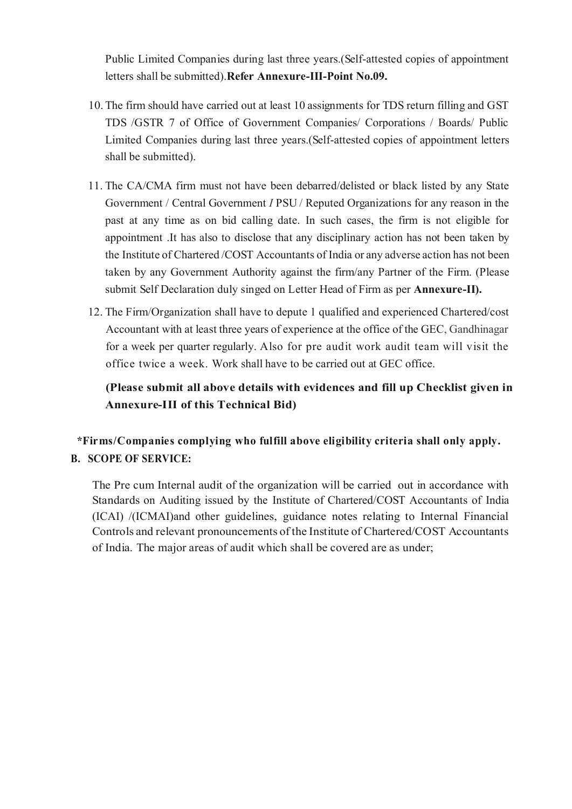Public Limited Companies during last three years.(Self-attested copies of appointment letters shall be submitted).Refer Annexure-III-Point No.09.

- 10. The firm should have carried out at least 10 assignments for TDS return filling and GST TDS /GSTR 7 of Office of Government Companies/ Corporations / Boards/ Public Limited Companies during last three years.(Self-attested copies of appointment letters shall be submitted).
- 11. The CA/CMA firm must not have been debarred/delisted or black listed by any State Government / Central Government *I* PSU / Reputed Organizations for any reason in the past at any time as on bid calling date. In such cases, the firm is not eligible for appointment .It has also to disclose that any disciplinary action has not been taken by the Institute of Chartered /COST Accountants of India or any adverse action has not been taken by any Government Authority against the firm/any Partner of the Firm. (Please submit Self Declaration duly singed on Letter Head of Firm as per Annexure-II).
- 12. The Firm/Organization shall have to depute 1 qualified and experienced Chartered/cost Accountant with at least three years of experience at the office of the GEC, Gandhinagar for a week per quarter regularly. Also for pre audit work audit team will visit the office twice a week. Work shall have to be carried out at GEC office.

(Please submit all above details with evidences and fill up Checklist given in Annexure-III of this Technical Bid)

\*Firms/Companies complying who fulfill above eligibility criteria shall only apply. B. SCOPE OF SERVICE:

The Pre cum Internal audit of the organization will be carried out in accordance with Standards on Auditing issued by the Institute of Chartered/COST Accountants of India (ICAI) /(ICMAI)and other guidelines, guidance notes relating to Internal Financial Controls and relevant pronouncements of the Institute of Chartered/COST Accountants of India. The major areas of audit which shall be covered are as under;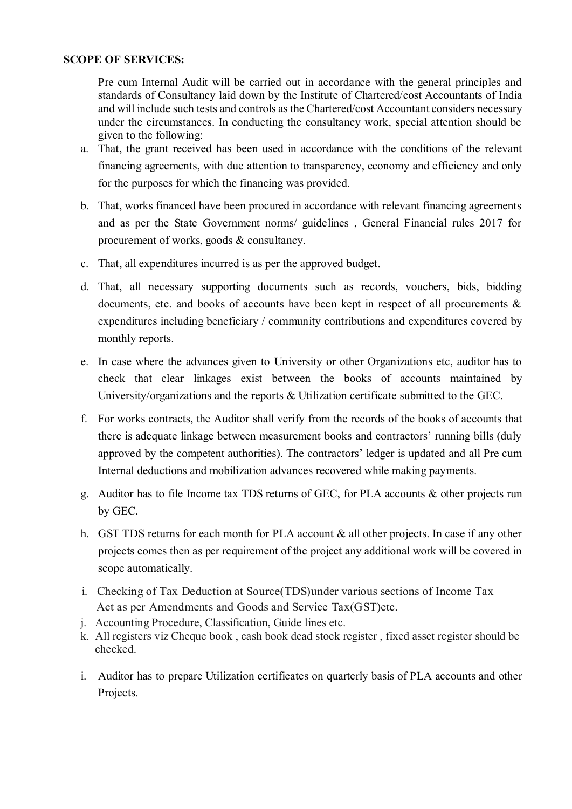#### SCOPE OF SERVICES:

Pre cum Internal Audit will be carried out in accordance with the general principles and standards of Consultancy laid down by the Institute of Chartered/cost Accountants of India and will include such tests and controls as the Chartered/cost Accountant considers necessary under the circumstances. In conducting the consultancy work, special attention should be given to the following:

- a. That, the grant received has been used in accordance with the conditions of the relevant financing agreements, with due attention to transparency, economy and efficiency and only for the purposes for which the financing was provided.
- b. That, works financed have been procured in accordance with relevant financing agreements and as per the State Government norms/ guidelines , General Financial rules 2017 for procurement of works, goods & consultancy.
- c. That, all expenditures incurred is as per the approved budget.
- d. That, all necessary supporting documents such as records, vouchers, bids, bidding documents, etc. and books of accounts have been kept in respect of all procurements & expenditures including beneficiary / community contributions and expenditures covered by monthly reports.
- e. In case where the advances given to University or other Organizations etc, auditor has to check that clear linkages exist between the books of accounts maintained by University/organizations and the reports & Utilization certificate submitted to the GEC.
- f. For works contracts, the Auditor shall verify from the records of the books of accounts that there is adequate linkage between measurement books and contractors' running bills (duly approved by the competent authorities). The contractors' ledger is updated and all Pre cum Internal deductions and mobilization advances recovered while making payments.
- g. Auditor has to file Income tax TDS returns of GEC, for PLA accounts & other projects run by GEC.
- h. GST TDS returns for each month for PLA account & all other projects. In case if any other projects comes then as per requirement of the project any additional work will be covered in scope automatically.
- i. Checking of Tax Deduction at Source(TDS)under various sections of Income Tax Act as per Amendments and Goods and Service Tax(GST)etc.
- j. Accounting Procedure, Classification, Guide lines etc.
- k. All registers viz Cheque book , cash book dead stock register , fixed asset register should be checked.
- i. Auditor has to prepare Utilization certificates on quarterly basis of PLA accounts and other Projects.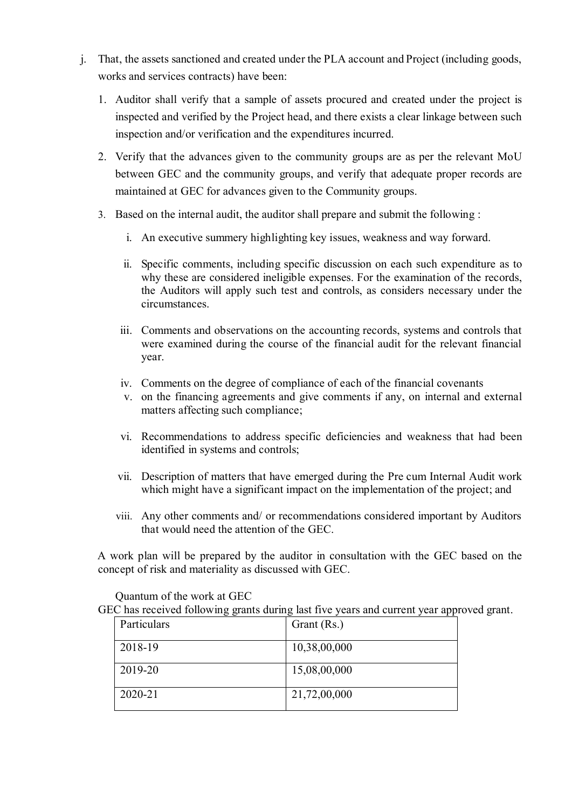- j. That, the assets sanctioned and created under the PLA account and Project (including goods, works and services contracts) have been:
	- 1. Auditor shall verify that a sample of assets procured and created under the project is inspected and verified by the Project head, and there exists a clear linkage between such inspection and/or verification and the expenditures incurred.
	- 2. Verify that the advances given to the community groups are as per the relevant MoU between GEC and the community groups, and verify that adequate proper records are maintained at GEC for advances given to the Community groups.
	- 3. Based on the internal audit, the auditor shall prepare and submit the following :
		- i. An executive summery highlighting key issues, weakness and way forward.
		- ii. Specific comments, including specific discussion on each such expenditure as to why these are considered ineligible expenses. For the examination of the records, the Auditors will apply such test and controls, as considers necessary under the circumstances.
		- iii. Comments and observations on the accounting records, systems and controls that were examined during the course of the financial audit for the relevant financial year.
		- iv. Comments on the degree of compliance of each of the financial covenants
		- v. on the financing agreements and give comments if any, on internal and external matters affecting such compliance;
		- vi. Recommendations to address specific deficiencies and weakness that had been identified in systems and controls;
		- vii. Description of matters that have emerged during the Pre cum Internal Audit work which might have a significant impact on the implementation of the project; and
		- viii. Any other comments and/ or recommendations considered important by Auditors that would need the attention of the GEC.

A work plan will be prepared by the auditor in consultation with the GEC based on the concept of risk and materiality as discussed with GEC.

Quantum of the work at GEC

GEC has received following grants during last five years and current year approved grant.

| Particulars | Grant (Rs.)  |
|-------------|--------------|
| 2018-19     | 10,38,00,000 |
| 2019-20     | 15,08,00,000 |
| 2020-21     | 21,72,00,000 |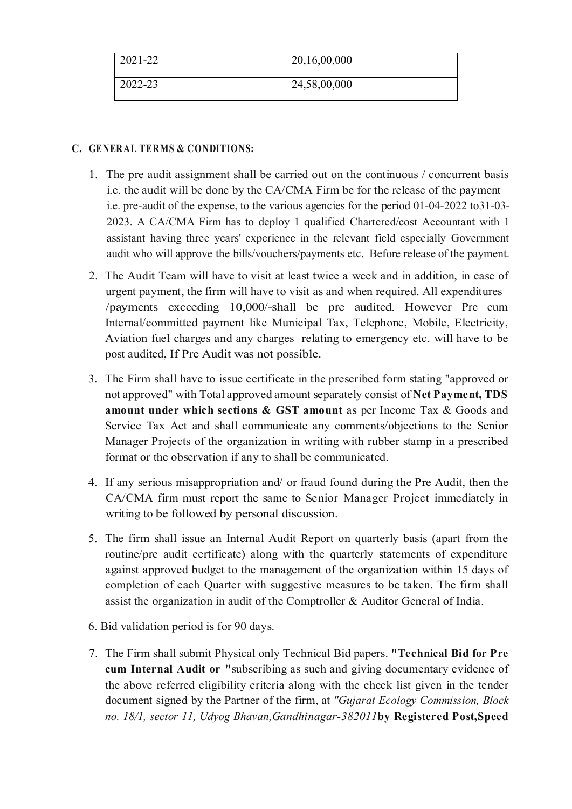| 2021-22 | 20,16,00,000 |
|---------|--------------|
| 2022-23 | 24,58,00,000 |

## C. GENERAL TERMS & CONDITIONS:

- 1. The pre audit assignment shall be carried out on the continuous / concurrent basis i.e. the audit will be done by the CA/CMA Firm be for the release of the payment i.e. pre-audit of the expense, to the various agencies for the period 01-04-2022 to31-03- 2023. A CA/CMA Firm has to deploy 1 qualified Chartered/cost Accountant with 1 assistant having three years' experience in the relevant field especially Government audit who will approve the bills/vouchers/payments etc. Before release of the payment.
- 2. The Audit Team will have to visit at least twice a week and in addition, in case of urgent payment, the firm will have to visit as and when required. All expenditures /payments exceeding 10,000/-shall be pre audited. However Pre cum Internal/committed payment like Municipal Tax, Telephone, Mobile, Electricity, Aviation fuel charges and any charges relating to emergency etc. will have to be post audited, If Pre Audit was not possible.
- 3. The Firm shall have to issue certificate in the prescribed form stating "approved or not approved" with Total approved amount separately consist of Net Payment, TDS amount under which sections & GST amount as per Income Tax & Goods and Service Tax Act and shall communicate any comments/objections to the Senior Manager Projects of the organization in writing with rubber stamp in a prescribed format or the observation if any to shall be communicated.
- 4. If any serious misappropriation and/ or fraud found during the Pre Audit, then the CA/CMA firm must report the same to Senior Manager Project immediately in writing to be followed by personal discussion.
- 5. The firm shall issue an Internal Audit Report on quarterly basis (apart from the routine/pre audit certificate) along with the quarterly statements of expenditure against approved budget to the management of the organization within 15 days of completion of each Quarter with suggestive measures to be taken. The firm shall assist the organization in audit of the Comptroller & Auditor General of India.
- 6. Bid validation period is for 90 days.
- 7. The Firm shall submit Physical only Technical Bid papers. "Technical Bid for Pre cum Internal Audit or "subscribing as such and giving documentary evidence of the above referred eligibility criteria along with the check list given in the tender document signed by the Partner of the firm, at *"Gujarat Ecology Commission, Block no. 18/1, sector 11, Udyog Bhavan,Gandhinagar*-*382011*by Registered Post,Speed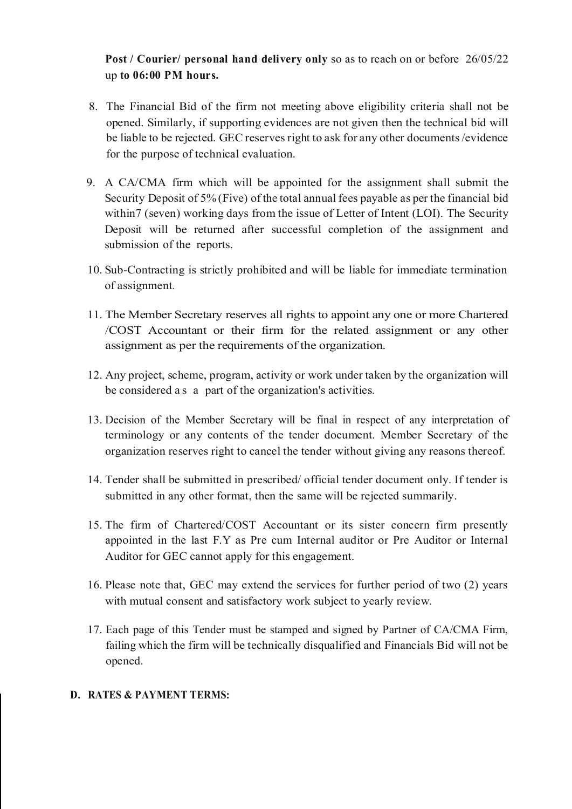Post / Courier/ personal hand delivery only so as to reach on or before 26/05/22 up to 06:00 PM hours.

- 8. The Financial Bid of the firm not meeting above eligibility criteria shall not be opened. Similarly, if supporting evidences are not given then the technical bid will be liable to be rejected. GEC reserves right to ask for any other documents /evidence for the purpose of technical evaluation.
- 9. A CA/CMA firm which will be appointed for the assignment shall submit the Security Deposit of 5% (Five) of the total annual fees payable as per the financial bid within 7 (seven) working days from the issue of Letter of Intent (LOI). The Security Deposit will be returned after successful completion of the assignment and submission of the reports.
- 10. Sub-Contracting is strictly prohibited and will be liable for immediate termination of assignment.
- 11. The Member Secretary reserves all rights to appoint any one or more Chartered /COST Accountant or their firm for the related assignment or any other assignment as per the requirements of the organization.
- 12. Any project, scheme, program, activity or work under taken by the organization will be considered a s a part of the organization's activities.
- 13. Decision of the Member Secretary will be final in respect of any interpretation of terminology or any contents of the tender document. Member Secretary of the organization reserves right to cancel the tender without giving any reasons thereof.
- 14. Tender shall be submitted in prescribed/ official tender document only. If tender is submitted in any other format, then the same will be rejected summarily.
- 15. The firm of Chartered/COST Accountant or its sister concern firm presently appointed in the last F.Y as Pre cum Internal auditor or Pre Auditor or Internal Auditor for GEC cannot apply for this engagement.
- 16. Please note that, GEC may extend the services for further period of two (2) years with mutual consent and satisfactory work subject to yearly review.
- 17. Each page of this Tender must be stamped and signed by Partner of CA/CMA Firm, failing which the firm will be technically disqualified and Financials Bid will not be opened.

#### D. RATES & PAYMENT TERMS: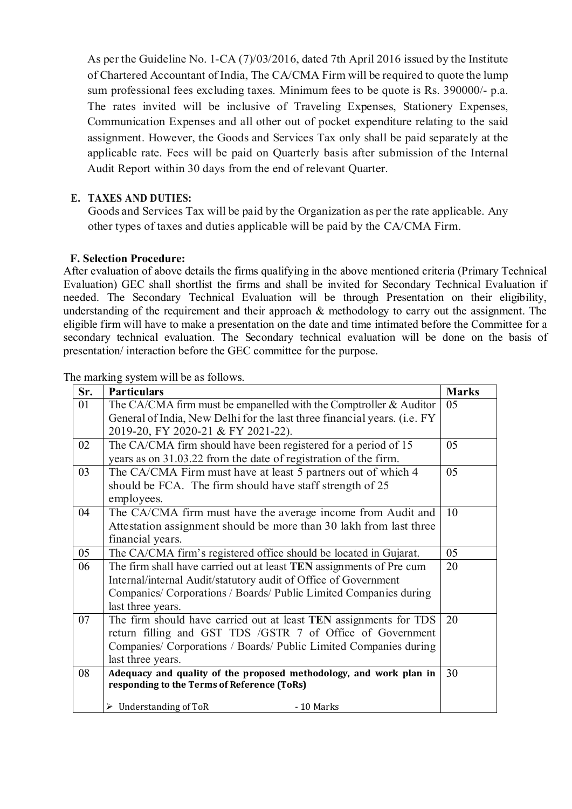As per the Guideline No. 1-CA (7)/03/2016, dated 7th April 2016 issued by the Institute of Chartered Accountant of India, The CA/CMA Firm will be required to quote the lump sum professional fees excluding taxes. Minimum fees to be quote is Rs. 390000/- p.a. The rates invited will be inclusive of Traveling Expenses, Stationery Expenses, Communication Expenses and all other out of pocket expenditure relating to the said assignment. However, the Goods and Services Tax only shall be paid separately at the applicable rate. Fees will be paid on Quarterly basis after submission of the Internal Audit Report within 30 days from the end of relevant Quarter.

## E. TAXES AND DUTIES:

Goods and Services Tax will be paid by the Organization as per the rate applicable. Any other types of taxes and duties applicable will be paid by the CA/CMA Firm.

#### F. Selection Procedure:

After evaluation of above details the firms qualifying in the above mentioned criteria (Primary Technical Evaluation) GEC shall shortlist the firms and shall be invited for Secondary Technical Evaluation if needed. The Secondary Technical Evaluation will be through Presentation on their eligibility, understanding of the requirement and their approach  $\&$  methodology to carry out the assignment. The eligible firm will have to make a presentation on the date and time intimated before the Committee for a secondary technical evaluation. The Secondary technical evaluation will be done on the basis of presentation/ interaction before the GEC committee for the purpose.

The marking system will be as follows.

| Sr. | <b>Particulars</b>                                                       | <b>Marks</b> |
|-----|--------------------------------------------------------------------------|--------------|
| 01  | The CA/CMA firm must be empanelled with the Comptroller $\&$ Auditor     | 05           |
|     | General of India, New Delhi for the last three financial years. (i.e. FY |              |
|     | 2019-20, FY 2020-21 & FY 2021-22).                                       |              |
| 02  | The CA/CMA firm should have been registered for a period of 15           | 05           |
|     | years as on 31.03.22 from the date of registration of the firm.          |              |
| 03  | The CA/CMA Firm must have at least 5 partners out of which 4             | 05           |
|     | should be FCA. The firm should have staff strength of 25                 |              |
|     | employees.                                                               |              |
| 04  | The CA/CMA firm must have the average income from Audit and              | 10           |
|     | Attestation assignment should be more than 30 lakh from last three       |              |
|     | financial years.                                                         |              |
| 05  | The CA/CMA firm's registered office should be located in Gujarat.        | 05           |
| 06  | The firm shall have carried out at least TEN assignments of Pre cum      | 20           |
|     | Internal/internal Audit/statutory audit of Office of Government          |              |
|     | Companies/Corporations / Boards/Public Limited Companies during          |              |
|     | last three years.                                                        |              |
| 07  | The firm should have carried out at least TEN assignments for TDS        | 20           |
|     | return filling and GST TDS /GSTR 7 of Office of Government               |              |
|     | Companies/ Corporations / Boards/ Public Limited Companies during        |              |
|     | last three years.                                                        |              |
| 08  | Adequacy and quality of the proposed methodology, and work plan in       | 30           |
|     | responding to the Terms of Reference (ToRs)                              |              |
|     | $\triangleright$ Understanding of ToR<br>-10 Marks                       |              |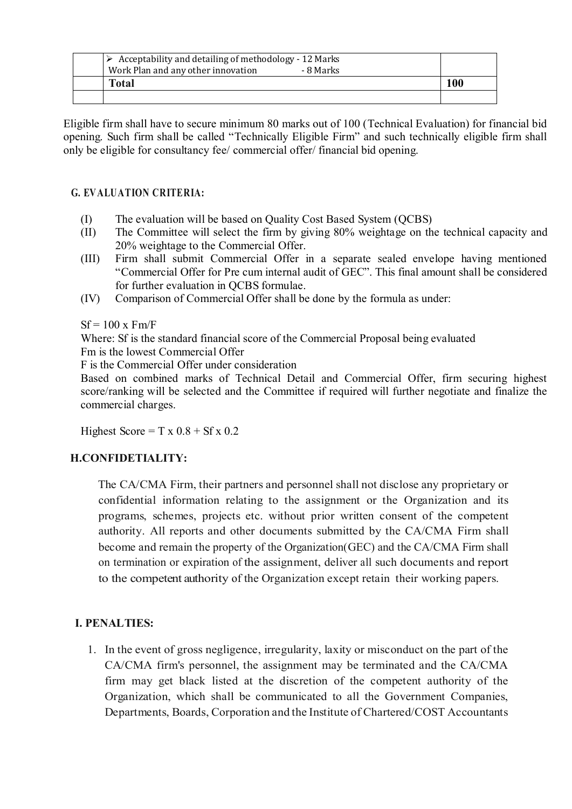| $\triangleright$ Acceptability and detailing of methodology - 12 Marks |     |
|------------------------------------------------------------------------|-----|
| Work Plan and any other innovation<br>- 8 Marks                        |     |
| Total                                                                  | 100 |
|                                                                        |     |

Eligible firm shall have to secure minimum 80 marks out of 100 (Technical Evaluation) for financial bid opening. Such firm shall be called "Technically Eligible Firm" and such technically eligible firm shall only be eligible for consultancy fee/ commercial offer/ financial bid opening.

#### G. EVALUATION CRITERIA:

- (I) The evaluation will be based on Quality Cost Based System (QCBS)
- (II) The Committee will select the firm by giving 80% weightage on the technical capacity and 20% weightage to the Commercial Offer.
- (III) Firm shall submit Commercial Offer in a separate sealed envelope having mentioned "Commercial Offer for Pre cum internal audit of GEC". This final amount shall be considered for further evaluation in QCBS formulae.
- (IV) Comparison of Commercial Offer shall be done by the formula as under:

 $Sf = 100$  x  $Fm/F$ 

Where: Sf is the standard financial score of the Commercial Proposal being evaluated

Fm is the lowest Commercial Offer

F is the Commercial Offer under consideration

Based on combined marks of Technical Detail and Commercial Offer, firm securing highest score/ranking will be selected and the Committee if required will further negotiate and finalize the commercial charges.

Highest Score =  $T \times 0.8 + Sf \times 0.2$ 

# H.CONFIDETIALITY:

The CA/CMA Firm, their partners and personnel shall not disclose any proprietary or confidential information relating to the assignment or the Organization and its programs, schemes, projects etc. without prior written consent of the competent authority. All reports and other documents submitted by the CA/CMA Firm shall become and remain the property of the Organization(GEC) and the CA/CMA Firm shall on termination or expiration of the assignment, deliver all such documents and report to the competent authority of the Organization except retain their working papers.

# I. PENALTIES:

1. In the event of gross negligence, irregularity, laxity or misconduct on the part of the CA/CMA firm's personnel, the assignment may be terminated and the CA/CMA firm may get black listed at the discretion of the competent authority of the Organization, which shall be communicated to all the Government Companies, Departments, Boards, Corporation and the Institute of Chartered/COST Accountants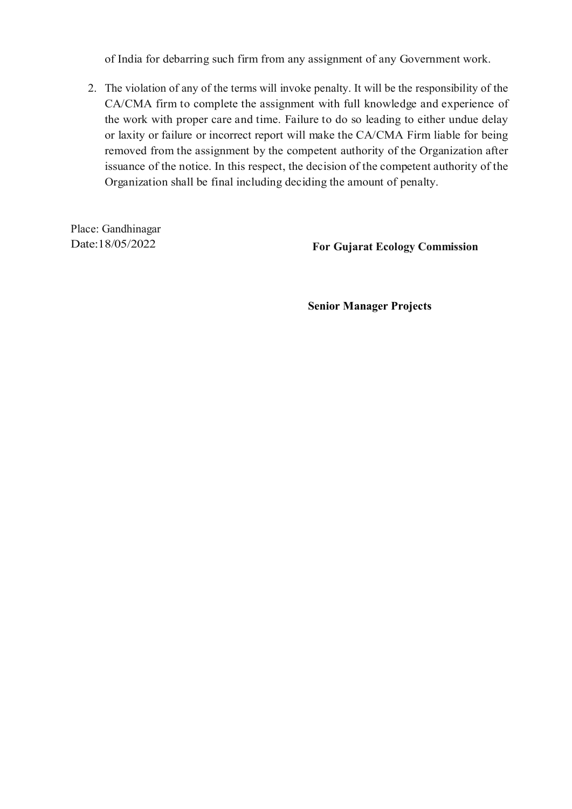of India for debarring such firm from any assignment of any Government work.

2. The violation of any of the terms will invoke penalty. It will be the responsibility of the CA/CMA firm to complete the assignment with full knowledge and experience of the work with proper care and time. Failure to do so leading to either undue delay or laxity or failure or incorrect report will make the CA/CMA Firm liable for being removed from the assignment by the competent authority of the Organization after issuance of the notice. In this respect, the decision of the competent authority of the Organization shall be final including deciding the amount of penalty.

Place: Gandhinagar

Date:18/05/2022 For Gujarat Ecology Commission

Senior Manager Projects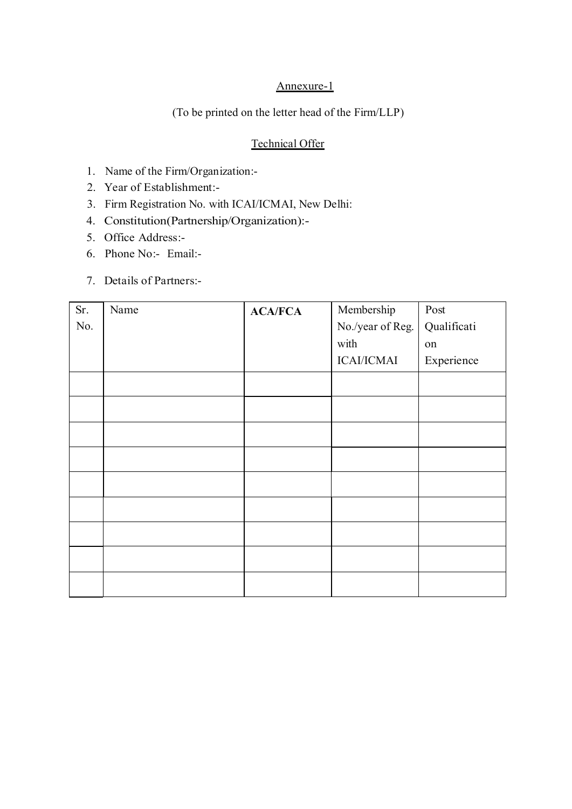## Annexure-1

(To be printed on the letter head of the Firm/LLP)

## Technical Offer

- 1. Name of the Firm/Organization:-
- 2. Year of Establishment:-
- 3. Firm Registration No. with ICAI/ICMAI, New Delhi:
- 4. Constitution(Partnership/Organization):-
- 5. Office Address:-
- 6. Phone No:- Email:-
- 7. Details of Partners:-

| Sr. | Name | <b>ACA/FCA</b> | Membership        | Post        |
|-----|------|----------------|-------------------|-------------|
| No. |      |                | No./year of Reg.  | Qualificati |
|     |      |                | with              | on          |
|     |      |                | <b>ICAI/ICMAI</b> | Experience  |
|     |      |                |                   |             |
|     |      |                |                   |             |
|     |      |                |                   |             |
|     |      |                |                   |             |
|     |      |                |                   |             |
|     |      |                |                   |             |
|     |      |                |                   |             |
|     |      |                |                   |             |
|     |      |                |                   |             |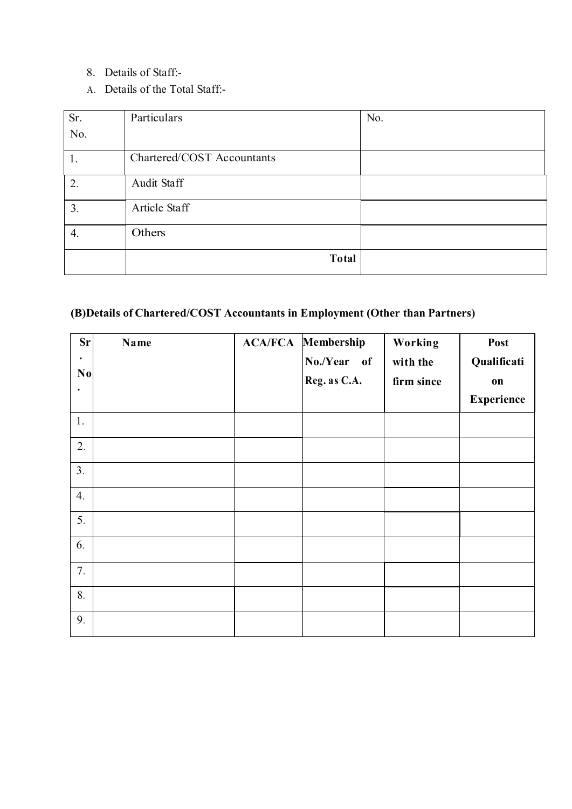- 8. Details of Staff:-
- A. Details of the Total Staff:-

| Sr.              | Particulars                | No. |
|------------------|----------------------------|-----|
| No.              |                            |     |
| 1.               | Chartered/COST Accountants |     |
| 2.               | Audit Staff                |     |
| 3.               | Article Staff              |     |
| $\overline{4}$ . | Others                     |     |
|                  | Total                      |     |

# (B)Details of Chartered/COST Accountants in Employment (Other than Partners)

| <b>Sr</b><br>N <sub>0</sub><br>$\bullet$ | Name | <b>ACA/FCA Membership</b><br>No./Year of<br>Reg. as C.A. | Working<br>with the<br>firm since | Post<br>Qualificati<br>on<br><b>Experience</b> |
|------------------------------------------|------|----------------------------------------------------------|-----------------------------------|------------------------------------------------|
| 1.                                       |      |                                                          |                                   |                                                |
| 2.                                       |      |                                                          |                                   |                                                |
| 3.                                       |      |                                                          |                                   |                                                |
| $\mathbf{4}$ .                           |      |                                                          |                                   |                                                |
| 5.                                       |      |                                                          |                                   |                                                |
| 6.                                       |      |                                                          |                                   |                                                |
| 7.                                       |      |                                                          |                                   |                                                |
| 8.                                       |      |                                                          |                                   |                                                |
| 9.                                       |      |                                                          |                                   |                                                |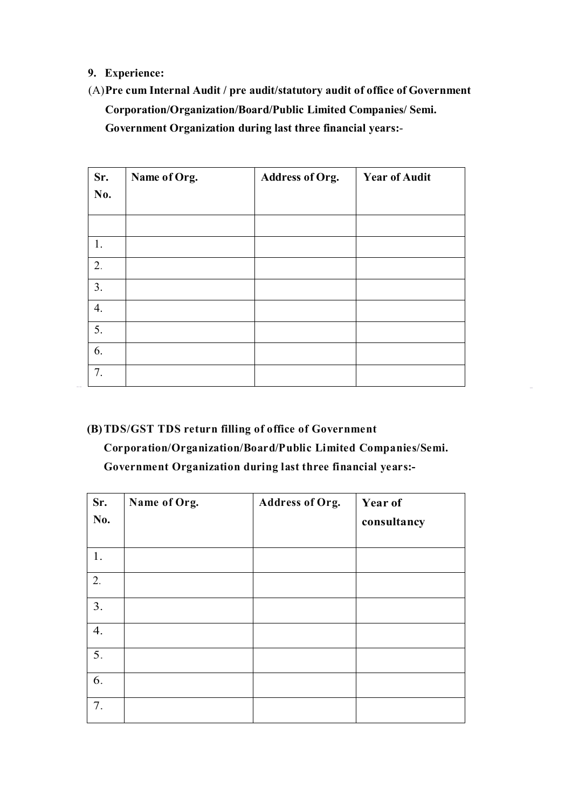#### 9. Experience:

# (A)Pre cum Internal Audit / pre audit/statutory audit of office of Government Corporation/Organization/Board/Public Limited Companies/ Semi. Government Organization during last three financial years:-

| Sr.              | Name of Org. | Address of Org. | <b>Year of Audit</b> |
|------------------|--------------|-----------------|----------------------|
| No.              |              |                 |                      |
|                  |              |                 |                      |
| 1.               |              |                 |                      |
| 2.               |              |                 |                      |
| 3.               |              |                 |                      |
| $\overline{4}$ . |              |                 |                      |
| 5.               |              |                 |                      |
| 6.               |              |                 |                      |
| 7.               |              |                 |                      |

# (B)TDS/GST TDS return filling of office of Government

Corporation/Organization/Board/Public Limited Companies/Semi. Government Organization during last three financial years:-

| Sr.<br>No.       | Name of Org. | <b>Address of Org.</b> | Year of<br>consultancy |
|------------------|--------------|------------------------|------------------------|
| 1.               |              |                        |                        |
| 2.               |              |                        |                        |
| 3.               |              |                        |                        |
| 4.               |              |                        |                        |
| $\overline{5}$ . |              |                        |                        |
| 6.               |              |                        |                        |
| 7.               |              |                        |                        |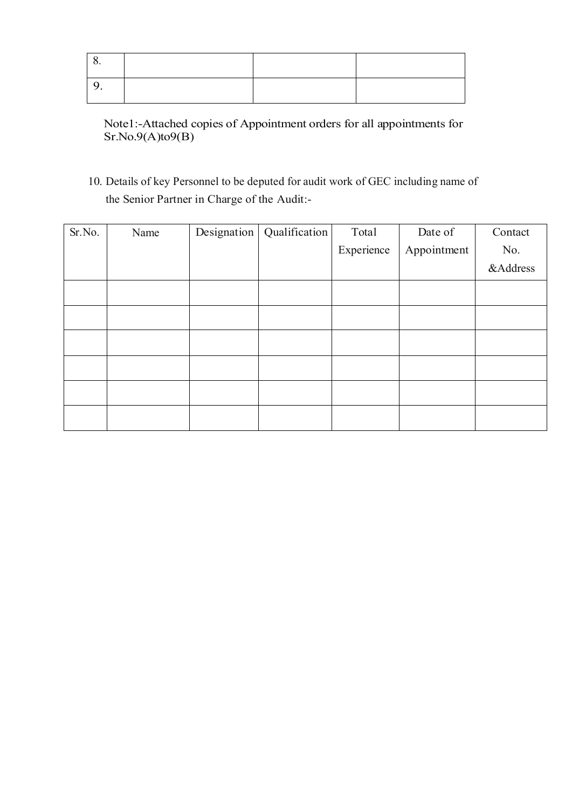Note1:-Attached copies of Appointment orders for all appointments for Sr.No.9(A)to9(B)

10. Details of key Personnel to be deputed for audit work of GEC including name of the Senior Partner in Charge of the Audit:-

| Sr.No. | Name | Designation | Qualification | Total      | Date of     | Contact  |
|--------|------|-------------|---------------|------------|-------------|----------|
|        |      |             |               | Experience | Appointment | No.      |
|        |      |             |               |            |             | &Address |
|        |      |             |               |            |             |          |
|        |      |             |               |            |             |          |
|        |      |             |               |            |             |          |
|        |      |             |               |            |             |          |
|        |      |             |               |            |             |          |
|        |      |             |               |            |             |          |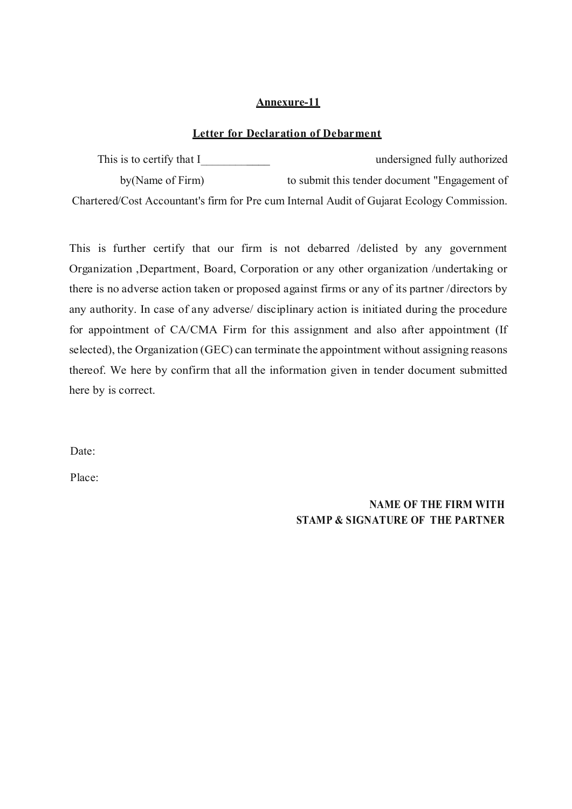#### Annexure-11

#### Letter for Declaration of Debarment

This is to certify that I\_\_\_\_\_\_\_\_\_\_\_\_ undersigned fully authorized by(Name of Firm) to submit this tender document "Engagement of Chartered/Cost Accountant's firm for Pre cum Internal Audit of Gujarat Ecology Commission.

This is further certify that our firm is not debarred /delisted by any government Organization ,Department, Board, Corporation or any other organization /undertaking or there is no adverse action taken or proposed against firms or any of its partner /directors by any authority. In case of any adverse/ disciplinary action is initiated during the procedure for appointment of CA/CMA Firm for this assignment and also after appointment (If selected), the Organization (GEC) can terminate the appointment without assigning reasons thereof. We here by confirm that all the information given in tender document submitted here by is correct.

Date:

Place:

NAME OF THE FIRM WITH STAMP & SIGNATURE OF THE PARTNER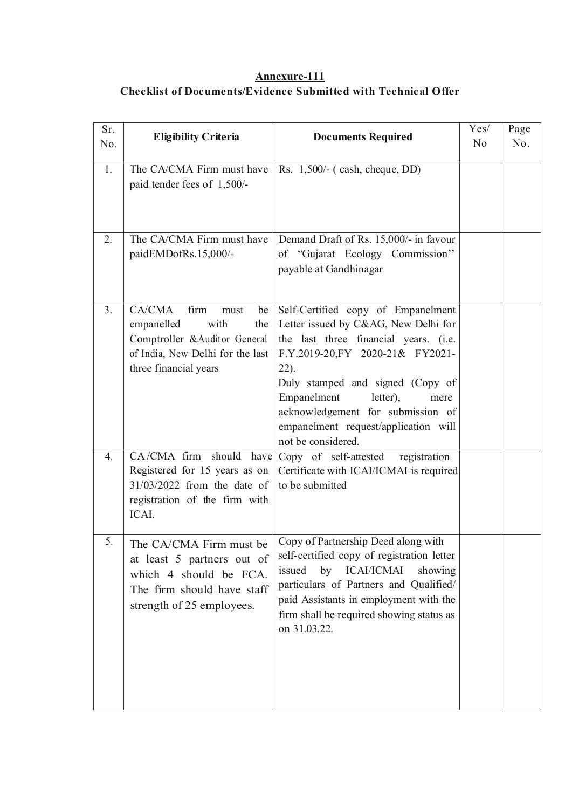# Annexure-111 Checklist of Documents/Evidence Submitted with Technical Offer

| Sr.<br>No.     | <b>Eligibility Criteria</b>                                                                                                                            | <b>Documents Required</b>                                                                                                                                                                                                                                                                                                                    | Yes/<br>N <sub>0</sub> | Page<br>No. |
|----------------|--------------------------------------------------------------------------------------------------------------------------------------------------------|----------------------------------------------------------------------------------------------------------------------------------------------------------------------------------------------------------------------------------------------------------------------------------------------------------------------------------------------|------------------------|-------------|
| 1.             | The CA/CMA Firm must have<br>paid tender fees of 1,500/-                                                                                               | Rs. 1,500/- (cash, cheque, DD)                                                                                                                                                                                                                                                                                                               |                        |             |
| 2.             | The CA/CMA Firm must have<br>paidEMDofRs.15,000/-                                                                                                      | Demand Draft of Rs. 15,000/- in favour<br>of "Gujarat Ecology Commission"<br>payable at Gandhinagar                                                                                                                                                                                                                                          |                        |             |
| 3 <sub>1</sub> | CA/CMA<br>firm<br>be<br>must<br>with<br>the<br>empanelled<br>Comptroller &Auditor General<br>of India, New Delhi for the last<br>three financial years | Self-Certified copy of Empanelment<br>Letter issued by C&AG, New Delhi for<br>the last three financial years. (i.e.<br>F.Y.2019-20, FY 2020-21& FY2021-<br>$22$ ).<br>Duly stamped and signed (Copy of<br>Empanelment<br>letter),<br>mere<br>acknowledgement for submission of<br>empanelment request/application will<br>not be considered. |                        |             |
| 4.             | CA/CMA firm should have<br>Registered for 15 years as on<br>$31/03/2022$ from the date of<br>registration of the firm with<br>ICAI.                    | $\overline{Copy}$ of self-attested<br>registration<br>Certificate with ICAI/ICMAI is required<br>to be submitted                                                                                                                                                                                                                             |                        |             |
| 5.             | The CA/CMA Firm must be<br>at least 5 partners out of<br>which 4 should be FCA.<br>The firm should have staff<br>strength of 25 employees.             | Copy of Partnership Deed along with<br>self-certified copy of registration letter<br>by ICAI/ICMAI<br>issued<br>showing<br>particulars of Partners and Qualified/<br>paid Assistants in employment with the<br>firm shall be required showing status as<br>on 31.03.22.                                                                      |                        |             |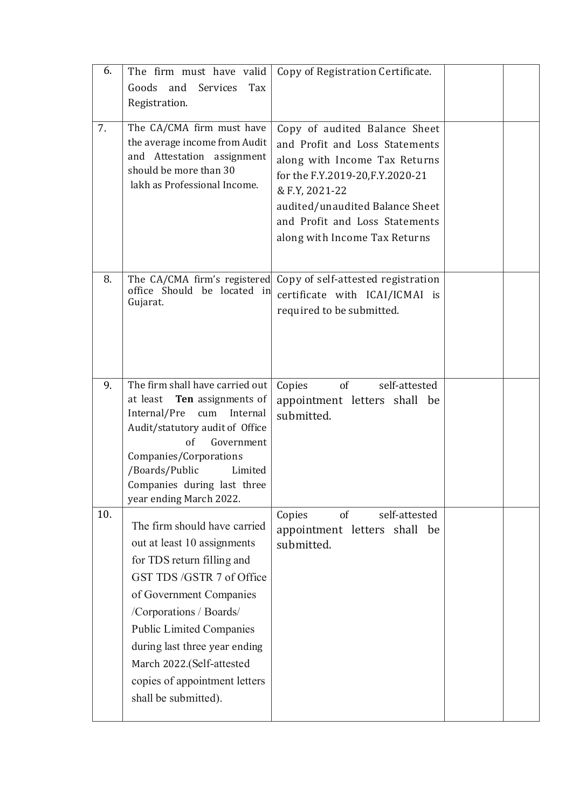| 6.  | The firm must have valid<br>Goods<br>and<br>Services<br>Tax<br>Registration.                                                                                                                                                                                                                                                          | Copy of Registration Certificate.                                                                                                                                                                                                                             |  |
|-----|---------------------------------------------------------------------------------------------------------------------------------------------------------------------------------------------------------------------------------------------------------------------------------------------------------------------------------------|---------------------------------------------------------------------------------------------------------------------------------------------------------------------------------------------------------------------------------------------------------------|--|
| 7.  | The CA/CMA firm must have<br>the average income from Audit<br>Attestation assignment<br>and<br>should be more than 30<br>lakh as Professional Income.                                                                                                                                                                                 | Copy of audited Balance Sheet<br>and Profit and Loss Statements<br>along with Income Tax Returns<br>for the F.Y.2019-20, F.Y. 2020-21<br>& F.Y, 2021-22<br>audited/unaudited Balance Sheet<br>and Profit and Loss Statements<br>along with Income Tax Returns |  |
| 8.  | The CA/CMA firm's registered<br>office Should be located in<br>Gujarat.                                                                                                                                                                                                                                                               | Copy of self-attested registration<br>certificate with ICAI/ICMAI is<br>required to be submitted.                                                                                                                                                             |  |
| 9.  | The firm shall have carried out<br>at least<br>Ten assignments of<br>Internal/Pre<br>cum<br>Internal<br>Audit/statutory audit of Office<br>of<br>Government<br>Companies/Corporations<br>/Boards/Public<br>Limited<br>Companies during last three<br>year ending March 2022.                                                          | of<br>Copies<br>self-attested<br>appointment letters shall be<br>submitted.                                                                                                                                                                                   |  |
| 10. | The firm should have carried<br>out at least 10 assignments<br>for TDS return filling and<br>GST TDS/GSTR 7 of Office<br>of Government Companies<br>/Corporations / Boards/<br><b>Public Limited Companies</b><br>during last three year ending<br>March 2022.(Self-attested<br>copies of appointment letters<br>shall be submitted). | self-attested<br>Copies<br><sub>of</sub><br>appointment letters shall be<br>submitted.                                                                                                                                                                        |  |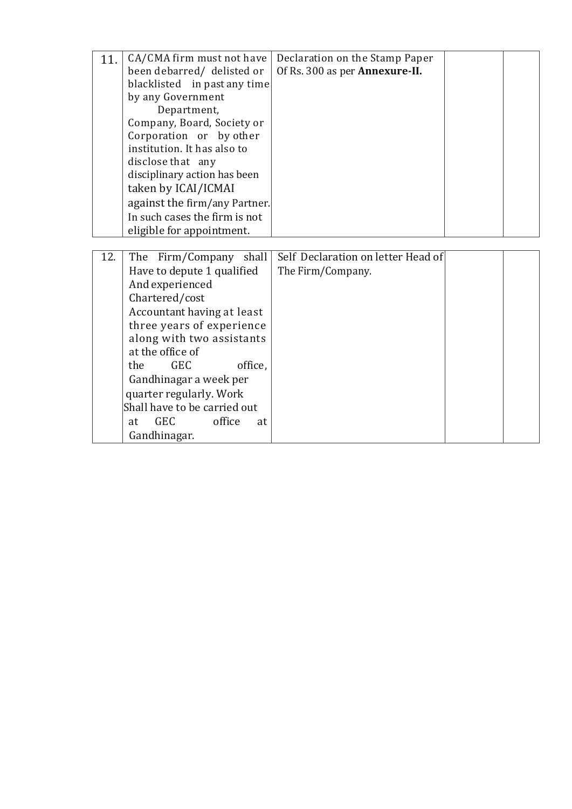| 11. | CA/CMA firm must not have        | Declaration on the Stamp Paper     |  |
|-----|----------------------------------|------------------------------------|--|
|     | been debarred/ delisted or       | Of Rs. 300 as per Annexure-II.     |  |
|     | blacklisted in past any time     |                                    |  |
|     | by any Government                |                                    |  |
|     | Department,                      |                                    |  |
|     | Company, Board, Society or       |                                    |  |
|     | Corporation or by other          |                                    |  |
|     | institution. It has also to      |                                    |  |
|     | disclose that any                |                                    |  |
|     | disciplinary action has been     |                                    |  |
|     | taken by ICAI/ICMAI              |                                    |  |
|     | against the firm/any Partner.    |                                    |  |
|     | In such cases the firm is not    |                                    |  |
|     | eligible for appointment.        |                                    |  |
|     |                                  |                                    |  |
| 12. | The Firm/Company shall           | Self Declaration on letter Head of |  |
|     | Have to depute 1 qualified       | The Firm/Company.                  |  |
|     | And experienced                  |                                    |  |
|     | Chartered/cost                   |                                    |  |
|     | Accountant having at least       |                                    |  |
|     | three years of experience        |                                    |  |
|     | along with two assistants        |                                    |  |
|     | at the office of                 |                                    |  |
|     | <b>GEC</b><br>office.<br>the     |                                    |  |
|     | Gandhinagar a week per           |                                    |  |
|     | quarter regularly. Work          |                                    |  |
|     | Shall have to be carried out     |                                    |  |
|     | office<br><b>GEC</b><br>at<br>at |                                    |  |
|     | Gandhinagar.                     |                                    |  |